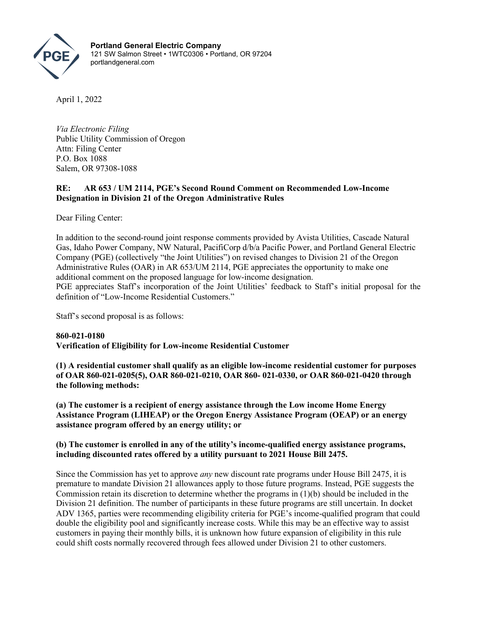

**Portland General Electric Company** 121 SW Salmon Street • 1WTC0306 • Portland, OR 97204 portlandgeneral.com

April 1, 2022

*Via Electronic Filing* Public Utility Commission of Oregon Attn: Filing Center P.O. Box 1088 Salem, OR 97308-1088

## **RE: AR 653 / UM 2114, PGE's Second Round Comment on Recommended Low-Income Designation in Division 21 of the Oregon Administrative Rules**

Dear Filing Center:

In addition to the second-round joint response comments provided by Avista Utilities, Cascade Natural Gas, Idaho Power Company, NW Natural, PacifiCorp d/b/a Pacific Power, and Portland General Electric Company (PGE) (collectively "the Joint Utilities") on revised changes to Division 21 of the Oregon Administrative Rules (OAR) in AR 653/UM 2114, PGE appreciates the opportunity to make one additional comment on the proposed language for low-income designation. PGE appreciates Staff's incorporation of the Joint Utilities' feedback to Staff's initial proposal for the definition of "Low-Income Residential Customers."

Staff's second proposal is as follows:

**860-021-0180 Verification of Eligibility for Low-income Residential Customer**

**(1) A residential customer shall qualify as an eligible low-income residential customer for purposes of OAR 860-021-0205(5), OAR 860-021-0210, OAR 860- 021-0330, or OAR 860-021-0420 through the following methods:** 

**(a) The customer is a recipient of energy assistance through the Low income Home Energy Assistance Program (LIHEAP) or the Oregon Energy Assistance Program (OEAP) or an energy assistance program offered by an energy utility; or**

## **(b) The customer is enrolled in any of the utility's income-qualified energy assistance programs, including discounted rates offered by a utility pursuant to 2021 House Bill 2475.**

Since the Commission has yet to approve *any* new discount rate programs under House Bill 2475, it is premature to mandate Division 21 allowances apply to those future programs. Instead, PGE suggests the Commission retain its discretion to determine whether the programs in (1)(b) should be included in the Division 21 definition. The number of participants in these future programs are still uncertain. In docket ADV 1365, parties were recommending eligibility criteria for PGE's income-qualified program that could double the eligibility pool and significantly increase costs. While this may be an effective way to assist customers in paying their monthly bills, it is unknown how future expansion of eligibility in this rule could shift costs normally recovered through fees allowed under Division 21 to other customers.